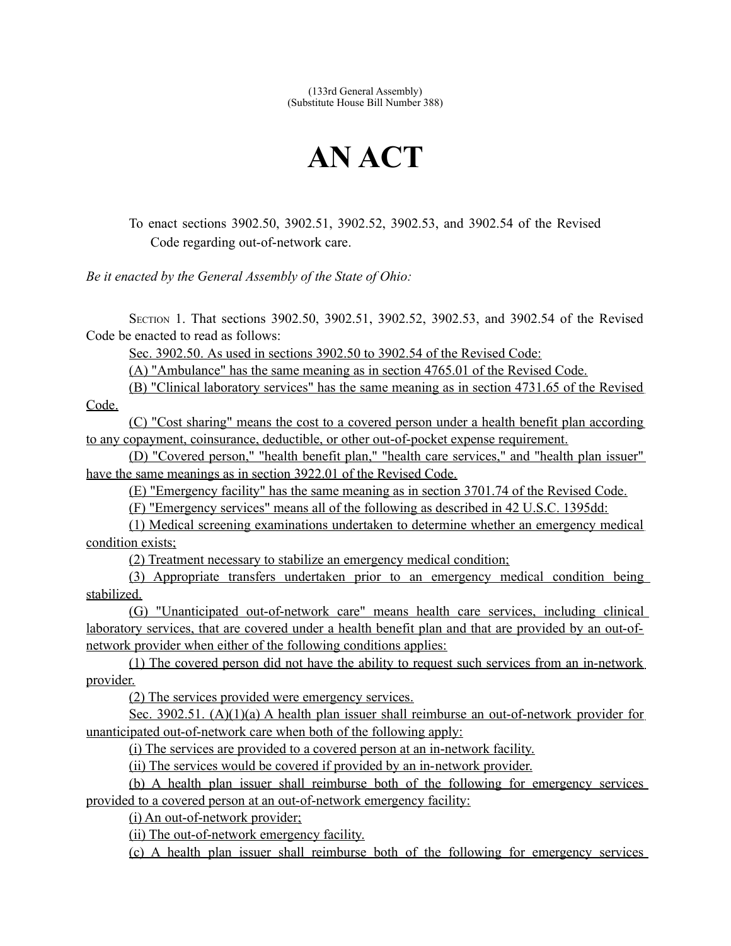(133rd General Assembly) (Substitute House Bill Number 388)

## **AN ACT**

To enact sections 3902.50, 3902.51, 3902.52, 3902.53, and 3902.54 of the Revised Code regarding out-of-network care.

*Be it enacted by the General Assembly of the State of Ohio:*

SECTION 1. That sections 3902.50, 3902.51, 3902.52, 3902.53, and 3902.54 of the Revised Code be enacted to read as follows:

Sec. 3902.50. As used in sections 3902.50 to 3902.54 of the Revised Code:

(A) "Ambulance" has the same meaning as in section 4765.01 of the Revised Code.

(B) "Clinical laboratory services" has the same meaning as in section 4731.65 of the Revised Code.

(C) "Cost sharing" means the cost to a covered person under a health benefit plan according to any copayment, coinsurance, deductible, or other out-of-pocket expense requirement.

(D) "Covered person," "health benefit plan," "health care services," and "health plan issuer" have the same meanings as in section 3922.01 of the Revised Code.

(E) "Emergency facility" has the same meaning as in section 3701.74 of the Revised Code.

(F) "Emergency services" means all of the following as described in 42 U.S.C. 1395dd:

(1) Medical screening examinations undertaken to determine whether an emergency medical condition exists;

(2) Treatment necessary to stabilize an emergency medical condition;

(3) Appropriate transfers undertaken prior to an emergency medical condition being stabilized.

(G) "Unanticipated out-of-network care" means health care services, including clinical laboratory services, that are covered under a health benefit plan and that are provided by an out-ofnetwork provider when either of the following conditions applies:

(1) The covered person did not have the ability to request such services from an in-network provider.

(2) The services provided were emergency services.

Sec. 3902.51. (A)(1)(a) A health plan issuer shall reimburse an out-of-network provider for unanticipated out-of-network care when both of the following apply:

(i) The services are provided to a covered person at an in-network facility.

(ii) The services would be covered if provided by an in- network provider.

(b) A health plan issuer shall reimburse both of the following for emergency services provided to a covered person at an out-of-network emergency facility:

(i) An out-of-network provider;

(ii) The out-of-network emergency facility.

(c) A health plan issuer shall reimburse both of the following for emergency services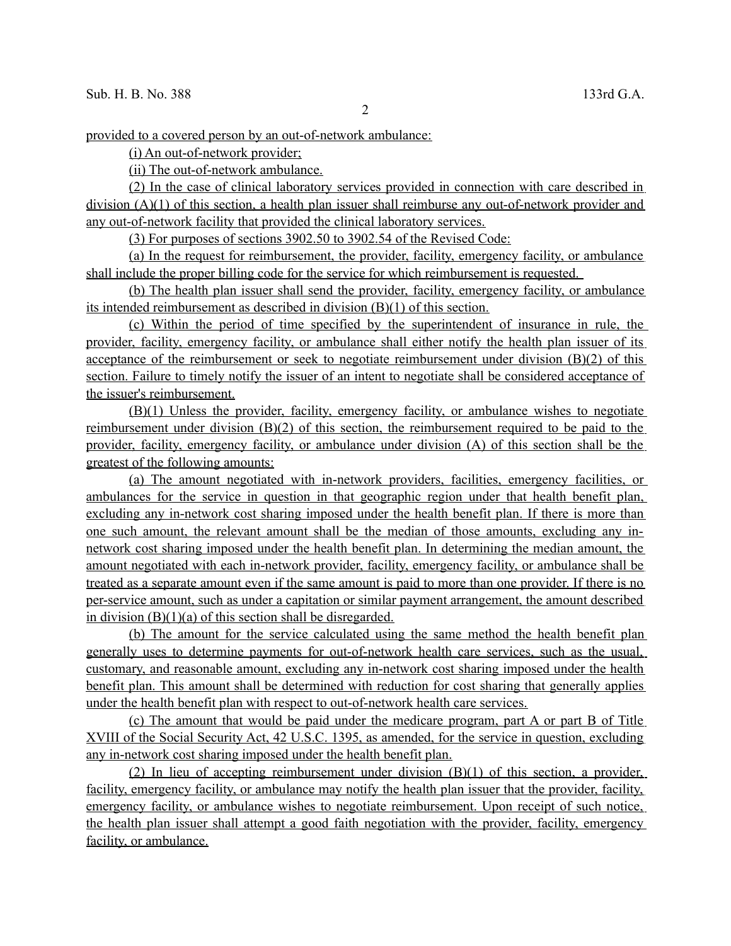provided to a covered person by an out-of-network ambulance:

(i) An out-of-network provider;

(ii) The out-of-network ambulance.

(2) In the case of clinical laboratory services provided in connection with care described in division (A)(1) of this section, a health plan issuer shall reimburse any out-of-network provider and any out-of-network facility that provided the clinical laboratory services.

(3) For purposes of sections 3902.50 to 3902.54 of the Revised Code:

(a) In the request for reimbursement, the provider, facility, emergency facility, or ambulance shall include the proper billing code for the service for which reimbursement is requested.

 (b) The health plan issuer shall send the provider, facility, emergency facility, or ambulance its intended reimbursement as described in division (B)(1) of this section.

(c) Within the period of time specified by the superintendent of insurance in rule, the provider, facility, emergency facility, or ambulance shall either notify the health plan issuer of its acceptance of the reimbursement or seek to negotiate reimbursement under division (B)(2) of this section. Failure to timely notify the issuer of an intent to negotiate shall be considered acceptance of the issuer's reimbursement.

(B)(1) Unless the provider, facility, emergency facility, or ambulance wishes to negotiate reimbursement under division (B)(2) of this section, the reimbursement required to be paid to the provider, facility, emergency facility, or ambulance under division (A) of this section shall be the greatest of the following amounts:

(a) The amount negotiated with in-network providers, facilities, emergency facilities, or ambulances for the service in question in that geographic region under that health benefit plan, excluding any in-network cost sharing imposed under the health benefit plan. If there is more than one such amount, the relevant amount shall be the median of those amounts, excluding any innetwork cost sharing imposed under the health benefit plan. In determining the median amount, the amount negotiated with each in-network provider, facility, emergency facility, or ambulance shall be treated as a separate amount even if the same amount is paid to more than one provider. If there is no per-service amount, such as under a capitation or similar payment arrangement, the amount described in division  $(B)(1)(a)$  of this section shall be disregarded.

 (b) The amount for the service calculated using the same method the health benefit plan generally uses to determine payments for out-of-network health care services, such as the usual, customary, and reasonable amount, excluding any in-network cost sharing imposed under the health benefit plan. This amount shall be determined with reduction for cost sharing that generally applies under the health benefit plan with respect to out-of-network health care services.

(c) The amount that would be paid under the medicare program, part A or part B of Title XVIII of the Social Security Act, 42 U.S.C. 1395, as amended, for the service in question, excluding any in-network cost sharing imposed under the health benefit plan.

(2) In lieu of accepting reimbursement under division (B)(1) of this section, a provider, facility, emergency facility, or ambulance may notify the health plan issuer that the provider, facility, emergency facility, or ambulance wishes to negotiate reimbursement. Upon receipt of such notice, the health plan issuer shall attempt a good faith negotiation with the provider, facility, emergency facility, or ambulance.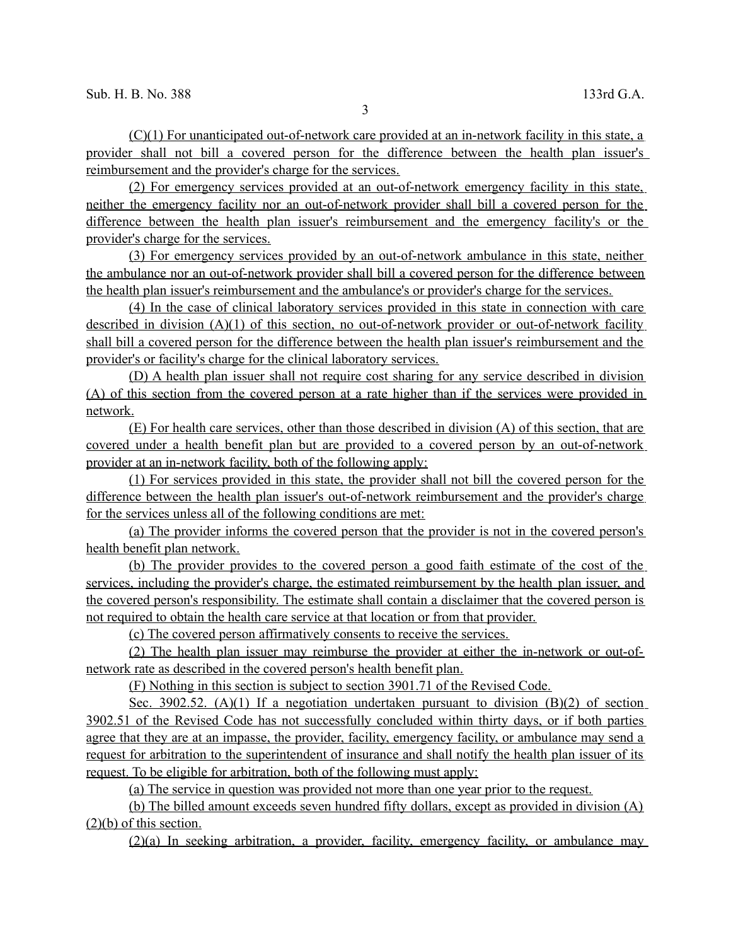(C)(1) For unanticipated out-of-network care provided at an in-network facility in this state, a provider shall not bill a covered person for the difference between the health plan issuer's reimbursement and the provider's charge for the services.

(2) For emergency services provided at an out-of-network emergency facility in this state, neither the emergency facility nor an out-of-network provider shall bill a covered person for the difference between the health plan issuer's reimbursement and the emergency facility's or the provider's charge for the services.

(3) For emergency services provided by an out-of-network ambulance in this state, neither the ambulance nor an out-of-network provider shall bill a covered person for the difference between the health plan issuer's reimbursement and the ambulance's or provider's charge for the services.

(4) In the case of clinical laboratory services provided in this state in connection with care described in division (A)(1) of this section, no out-of-network provider or out-of-network facility shall bill a covered person for the difference between the health plan issuer's reimbursement and the provider's or facility's charge for the clinical laboratory services.

(D) A health plan issuer shall not require cost sharing for any service described in division (A) of this section from the covered person at a rate higher than if the services were provided in network.

(E) For health care services, other than those described in division (A) of this section, that are covered under a health benefit plan but are provided to a covered person by an out-of-network provider at an in-network facility, both of the following apply:

(1) For services provided in this state, the provider shall not bill the covered person for the difference between the health plan issuer's out-of-network reimbursement and the provider's charge for the services unless all of the following conditions are met:

(a) The provider informs the covered person that the provider is not in the covered person's health benefit plan network.

(b) The provider provides to the covered person a good faith estimate of the cost of the services, including the provider's charge, the estimated reimbursement by the health plan issuer, and the covered person's responsibility. The estimate shall contain a disclaimer that the covered person is not required to obtain the health care service at that location or from that provider.

(c) The covered person affirmatively consents to receive the services.

(2) The health plan issuer may reimburse the provider at either the in-network or out-ofnetwork rate as described in the covered person's health benefit plan.

(F) Nothing in this section is subject to section 3901.71 of the Revised Code.

Sec. 3902.52. (A)(1) If a negotiation undertaken pursuant to division  $(B)(2)$  of section 3902.51 of the Revised Code has not successfully concluded within thirty days, or if both parties agree that they are at an impasse, the provider, facility, emergency facility, or ambulance may send a request for arbitration to the superintendent of insurance and shall notify the health plan issuer of its request. To be eligible for arbitration, both of the following must apply:

(a) The service in question was provided not more than one year prior to the request.

(b) The billed amount exceeds seven hundred fifty dollars, except as provided in division (A) (2)(b) of this section.

(2)(a) In seeking arbitration, a provider, facility, emergency facility, or ambulance may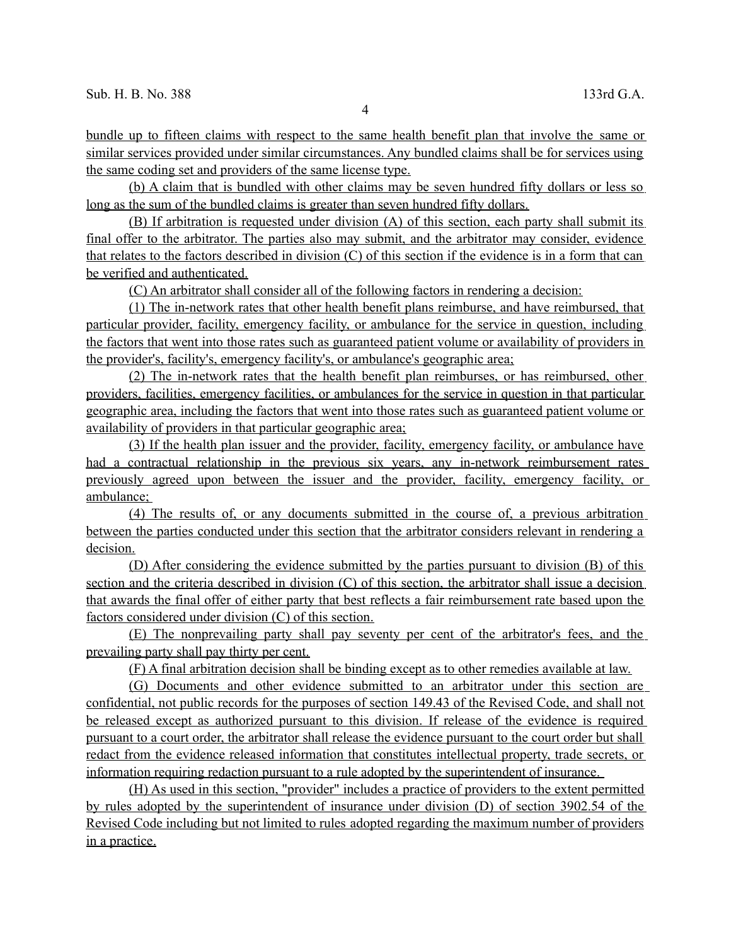bundle up to fifteen claims with respect to the same health benefit plan that involve the same or similar services provided under similar circumstances. Any bundled claims shall be for services using the same coding set and providers of the same license type.

(b) A claim that is bundled with other claims may be seven hundred fifty dollars or less so long as the sum of the bundled claims is greater than seven hundred fifty dollars.

(B) If arbitration is requested under division (A) of this section, each party shall submit its final offer to the arbitrator. The parties also may submit, and the arbitrator may consider, evidence that relates to the factors described in division (C) of this section if the evidence is in a form that can be verified and authenticated.

(C) An arbitrator shall consider all of the following factors in rendering a decision:

(1) The in-network rates that other health benefit plans reimburse, and have reimbursed, that particular provider, facility, emergency facility, or ambulance for the service in question, including the factors that went into those rates such as guaranteed patient volume or availability of providers in the provider's, facility's, emergency facility's, or ambulance's geographic area;

(2) The in-network rates that the health benefit plan reimburses, or has reimbursed, other providers, facilities, emergency facilities, or ambulances for the service in question in that particular geographic area, including the factors that went into those rates such as guaranteed patient volume or availability of providers in that particular geographic area;

(3) If the health plan issuer and the provider, facility, emergency facility, or ambulance have had a contractual relationship in the previous six years, any in-network reimbursement rates previously agreed upon between the issuer and the provider, facility, emergency facility, or ambulance;

(4) The results of, or any documents submitted in the course of, a previous arbitration between the parties conducted under this section that the arbitrator considers relevant in rendering a decision.

(D) After considering the evidence submitted by the parties pursuant to division (B) of this section and the criteria described in division (C) of this section, the arbitrator shall issue a decision that awards the final offer of either party that best reflects a fair reimbursement rate based upon the factors considered under division (C) of this section.

(E) The nonprevailing party shall pay seventy per cent of the arbitrator's fees, and the prevailing party shall pay thirty per cent.

(F) A final arbitration decision shall be binding except as to other remedies available at law.

(G) Documents and other evidence submitted to an arbitrator under this section are confidential, not public records for the purposes of section 149.43 of the Revised Code, and shall not be released except as authorized pursuant to this division. If release of the evidence is required pursuant to a court order, the arbitrator shall release the evidence pursuant to the court order but shall redact from the evidence released information that constitutes intellectual property, trade secrets, or information requiring redaction pursuant to a rule adopted by the superintendent of insurance.

 (H) As used in this section, "provider" includes a practice of providers to the extent permitted by rules adopted by the superintendent of insurance under division (D) of section 3902.54 of the Revised Code including but not limited to rules adopted regarding the maximum number of providers in a practice.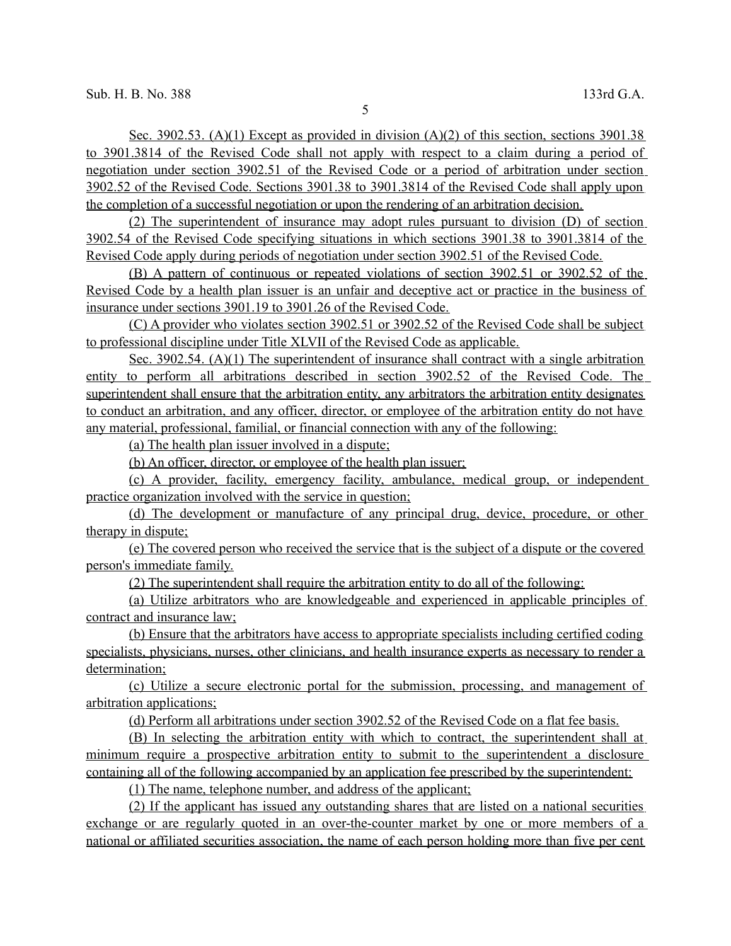Sec. 3902.53. (A)(1) Except as provided in division (A)(2) of this section, sections 3901.38 to 3901.3814 of the Revised Code shall not apply with respect to a claim during a period of negotiation under section 3902.51 of the Revised Code or a period of arbitration under section 3902.52 of the Revised Code. Sections 3901.38 to 3901.3814 of the Revised Code shall apply upon the completion of a successful negotiation or upon the rendering of an arbitration decision.

(2) The superintendent of insurance may adopt rules pursuant to division (D) of section 3902.54 of the Revised Code specifying situations in which sections 3901.38 to 3901.3814 of the Revised Code apply during periods of negotiation under section 3902.51 of the Revised Code.

(B) A pattern of continuous or repeated violations of section 3902.51 or 3902.52 of the Revised Code by a health plan issuer is an unfair and deceptive act or practice in the business of insurance under sections 3901.19 to 3901.26 of the Revised Code.

(C) A provider who violates section 3902.51 or 3902.52 of the Revised Code shall be subject to professional discipline under Title XLVII of the Revised Code as applicable.

Sec. 3902.54. (A)(1) The superintendent of insurance shall contract with a single arbitration entity to perform all arbitrations described in section 3902.52 of the Revised Code. The superintendent shall ensure that the arbitration entity, any arbitrators the arbitration entity designates to conduct an arbitration, and any officer, director, or employee of the arbitration entity do not have any material, professional, familial, or financial connection with any of the following:

(a) The health plan issuer involved in a dispute;

(b) An officer, director, or employee of the health plan issuer;

(c) A provider, facility, emergency facility, ambulance, medical group, or independent practice organization involved with the service in question;

(d) The development or manufacture of any principal drug, device, procedure, or other therapy in dispute;

(e) The covered person who received the service that is the subject of a dispute or the covered person's immediate family.

(2) The superintendent shall require the arbitration entity to do all of the following:

(a) Utilize arbitrators who are knowledgeable and experienced in applicable principles of contract and insurance law;

(b) Ensure that the arbitrators have access to appropriate specialists including certified coding specialists, physicians, nurses, other clinicians, and health insurance experts as necessary to render a determination;

(c) Utilize a secure electronic portal for the submission, processing, and management of arbitration applications;

(d) Perform all arbitrations under section 3902.52 of the Revised Code on a flat fee basis.

(B) In selecting the arbitration entity with which to contract, the superintendent shall at minimum require a prospective arbitration entity to submit to the superintendent a disclosure containing all of the following accompanied by an application fee prescribed by the superintendent:

(1) The name, telephone number, and address of the applicant;

(2) If the applicant has issued any outstanding shares that are listed on a national securities exchange or are regularly quoted in an over-the-counter market by one or more members of a national or affiliated securities association, the name of each person holding more than five per cent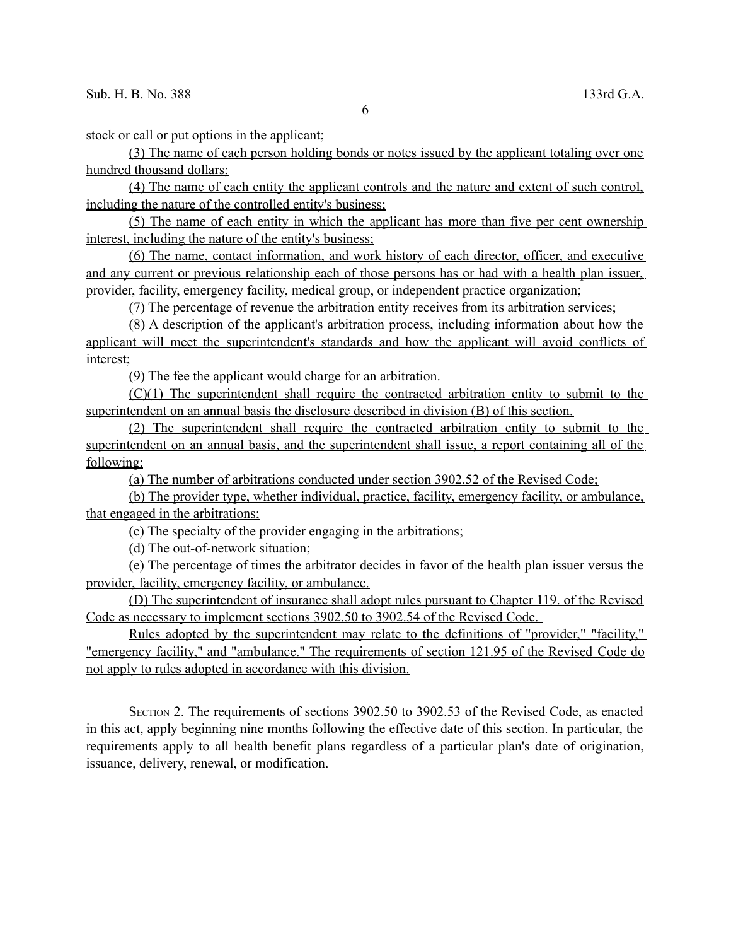6

stock or call or put options in the applicant;

(3) The name of each person holding bonds or notes issued by the applicant totaling over one hundred thousand dollars;

(4) The name of each entity the applicant controls and the nature and extent of such control, including the nature of the controlled entity's business;

(5) The name of each entity in which the applicant has more than five per cent ownership interest, including the nature of the entity's business;

(6) The name, contact information, and work history of each director, officer, and executive and any current or previous relationship each of those persons has or had with a health plan issuer, provider, facility, emergency facility, medical group, or independent practice organization;

(7) The percentage of revenue the arbitration entity receives from its arbitration services;

(8) A description of the applicant's arbitration process, including information about how the applicant will meet the superintendent's standards and how the applicant will avoid conflicts of interest;

(9) The fee the applicant would charge for an arbitration.

(C)(1) The superintendent shall require the contracted arbitration entity to submit to the superintendent on an annual basis the disclosure described in division (B) of this section.

(2) The superintendent shall require the contracted arbitration entity to submit to the superintendent on an annual basis, and the superintendent shall issue, a report containing all of the following:

(a) The number of arbitrations conducted under section 3902.52 of the Revised Code;

(b) The provider type, whether individual, practice, facility, emergency facility, or ambulance, that engaged in the arbitrations;

(c) The specialty of the provider engaging in the arbitrations;

(d) The out-of-network situation;

(e) The percentage of times the arbitrator decides in favor of the health plan issuer versus the provider, facility, emergency facility, or ambulance.

(D) The superintendent of insurance shall adopt rules pursuant to Chapter 119. of the Revised Code as necessary to implement sections 3902.50 to 3902.54 of the Revised Code.

Rules adopted by the superintendent may relate to the definitions of "provider," "facility," "emergency facility," and "ambulance." The requirements of section 121.95 of the Revised Code do not apply to rules adopted in accordance with this division.

SECTION 2. The requirements of sections 3902.50 to 3902.53 of the Revised Code, as enacted in this act, apply beginning nine months following the effective date of this section. In particular, the requirements apply to all health benefit plans regardless of a particular plan's date of origination, issuance, delivery, renewal, or modification.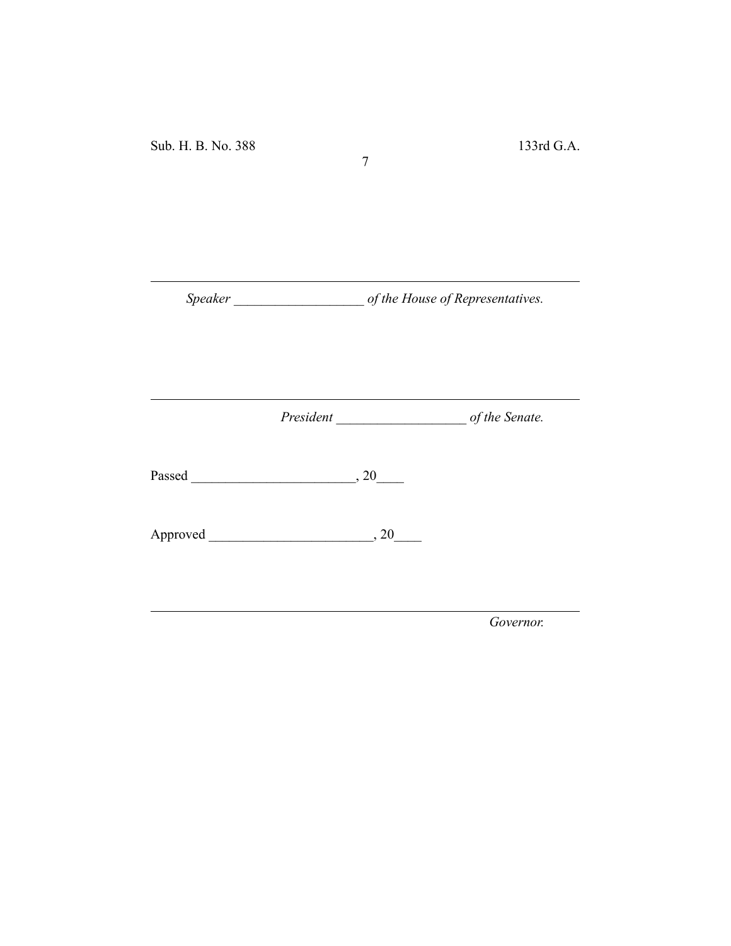*Speaker \_\_\_\_\_\_\_\_\_\_\_\_\_\_\_\_\_\_\_ of the House of Representatives.*

7

*President \_\_\_\_\_\_\_\_\_\_\_\_\_\_\_\_\_\_\_ of the Senate.*

Passed \_\_\_\_\_\_\_\_\_\_\_\_\_\_\_\_\_\_\_\_\_\_\_\_, 20\_\_\_\_

Approved \_\_\_\_\_\_\_\_\_\_\_\_\_\_\_\_\_\_\_\_\_\_\_\_, 20\_\_\_\_

*Governor.*